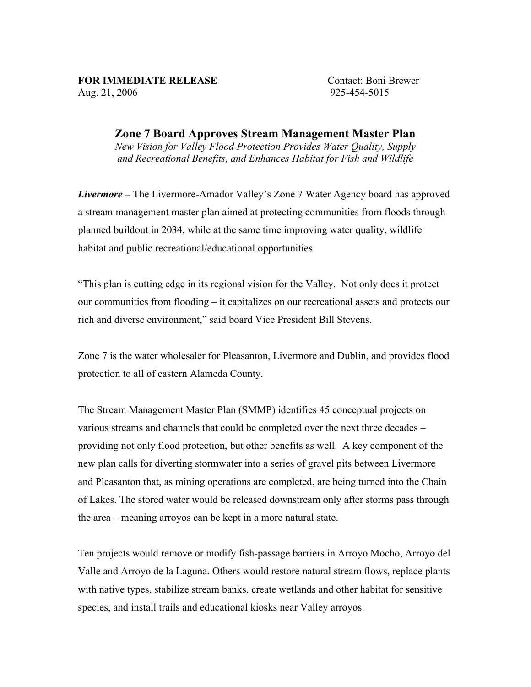## FOR IMMEDIATE RELEASE Contact: Boni Brewer

Aug. 21, 2006 925-454-5015

Zone 7 Board Approves Stream Management Master Plan *New Vision for Valley Flood Protection Provides Water Quality, Supply and Recreational Benefits, and Enhances Habitat for Fish and Wildlife*

*Livermore –* The Livermore-Amador Valley's Zone 7 Water Agency board has approved a stream management master plan aimed at protecting communities from floods through planned buildout in 2034, while at the same time improving water quality, wildlife habitat and public recreational/educational opportunities.

"This plan is cutting edge in its regional vision for the Valley. Not only does it protect our communities from flooding – it capitalizes on our recreational assets and protects our rich and diverse environment," said board Vice President Bill Stevens.

Zone 7 is the water wholesaler for Pleasanton, Livermore and Dublin, and provides flood protection to all of eastern Alameda County.

The Stream Management Master Plan (SMMP) identifies 45 conceptual projects on various streams and channels that could be completed over the next three decades – providing not only flood protection, but other benefits as well. A key component of the new plan calls for diverting stormwater into a series of gravel pits between Livermore and Pleasanton that, as mining operations are completed, are being turned into the Chain of Lakes. The stored water would be released downstream only after storms pass through the area – meaning arroyos can be kept in a more natural state.

Ten projects would remove or modify fish-passage barriers in Arroyo Mocho, Arroyo del Valle and Arroyo de la Laguna. Others would restore natural stream flows, replace plants with native types, stabilize stream banks, create wetlands and other habitat for sensitive species, and install trails and educational kiosks near Valley arroyos.